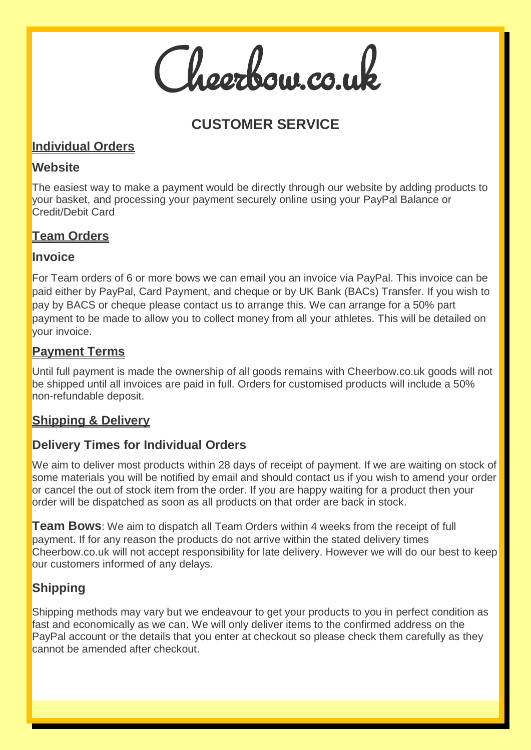Cheerbow.co.uk

# **CUSTOMER SERVICE**

### **Individual Orders**

### **Website**

The easiest way to make a payment would be directly through our website by adding products to your basket, and processing your payment securely online using your PayPal Balance or Credit/Debit Card

# **Team Orders**

### **Invoice**

For Team orders of 6 or more bows we can email you an invoice via PayPal. This invoice can be paid either by PayPal, Card Payment, and cheque or by UK Bank (BACs) Transfer. If you wish to pay by BACS or cheque please contact us to arrange this. We can arrange for a 50% part payment to be made to allow you to collect money from all your athletes. This will be detailed on your invoice.

### **Payment Terms**

Until full payment is made the ownership of all goods remains with Cheerbow.co.uk goods will not be shipped until all invoices are paid in full. Orders for customised products will include a 50% non-refundable deposit.

# **Shipping & Delivery**

# **Delivery Times for Individual Orders**

We aim to deliver most products within 28 days of receipt of payment. If we are waiting on stock of some materials you will be notified by email and should contact us if you wish to amend your order or cancel the out of stock item from the order. If you are happy waiting for a product then your order will be dispatched as soon as all products on that order are back in stock.

**Team Bows**: We aim to dispatch all Team Orders within 4 weeks from the receipt of full payment. If for any reason the products do not arrive within the stated delivery times Cheerbow.co.uk will not accept responsibility for late delivery. However we will do our best to keep our customers informed of any delays.

# **Shipping**

Shipping methods may vary but we endeavour to get your products to you in perfect condition as fast and economically as we can. We will only deliver items to the confirmed address on the PayPal account or the details that you enter at checkout so please check them carefully as they cannot be amended after checkout.